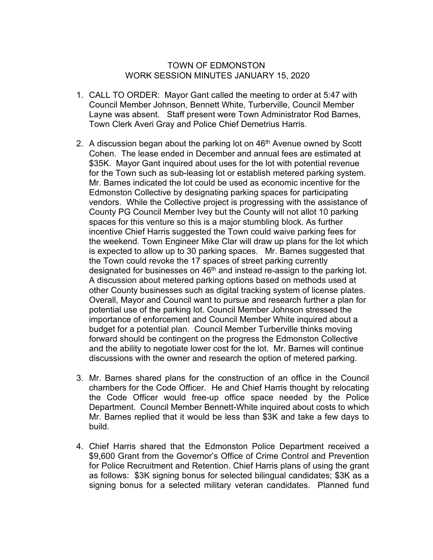## TOWN OF EDMONSTON WORK SESSION MINUTES JANUARY 15, 2020

- 1. CALL TO ORDER: Mayor Gant called the meeting to order at 5:47 with Council Member Johnson, Bennett White, Turberville, Council Member Layne was absent. Staff present were Town Administrator Rod Barnes, Town Clerk Averi Gray and Police Chief Demetrius Harris.
- 2. A discussion began about the parking lot on  $46<sup>th</sup>$  Avenue owned by Scott Cohen. The lease ended in December and annual fees are estimated at \$35K. Mayor Gant inquired about uses for the lot with potential revenue for the Town such as sub-leasing lot or establish metered parking system. Mr. Barnes indicated the lot could be used as economic incentive for the Edmonston Collective by designating parking spaces for participating vendors. While the Collective project is progressing with the assistance of County PG Council Member Ivey but the County will not allot 10 parking spaces for this venture so this is a major stumbling block. As further incentive Chief Harris suggested the Town could waive parking fees for the weekend. Town Engineer Mike Clar will draw up plans for the lot which is expected to allow up to 30 parking spaces. Mr. Barnes suggested that the Town could revoke the 17 spaces of street parking currently designated for businesses on  $46<sup>th</sup>$  and instead re-assign to the parking lot. A discussion about metered parking options based on methods used at other County businesses such as digital tracking system of license plates. Overall, Mayor and Council want to pursue and research further a plan for potential use of the parking lot. Council Member Johnson stressed the importance of enforcement and Council Member White inquired about a budget for a potential plan. Council Member Turberville thinks moving forward should be contingent on the progress the Edmonston Collective and the ability to negotiate lower cost for the lot. Mr. Barnes will continue discussions with the owner and research the option of metered parking.
- 3. Mr. Barnes shared plans for the construction of an office in the Council chambers for the Code Officer. He and Chief Harris thought by relocating the Code Officer would free-up office space needed by the Police Department. Council Member Bennett-White inquired about costs to which Mr. Barnes replied that it would be less than \$3K and take a few days to build.
- 4. Chief Harris shared that the Edmonston Police Department received a \$9,600 Grant from the Governor's Office of Crime Control and Prevention for Police Recruitment and Retention. Chief Harris plans of using the grant as follows: \$3K signing bonus for selected bilingual candidates; \$3K as a signing bonus for a selected military veteran candidates. Planned fund